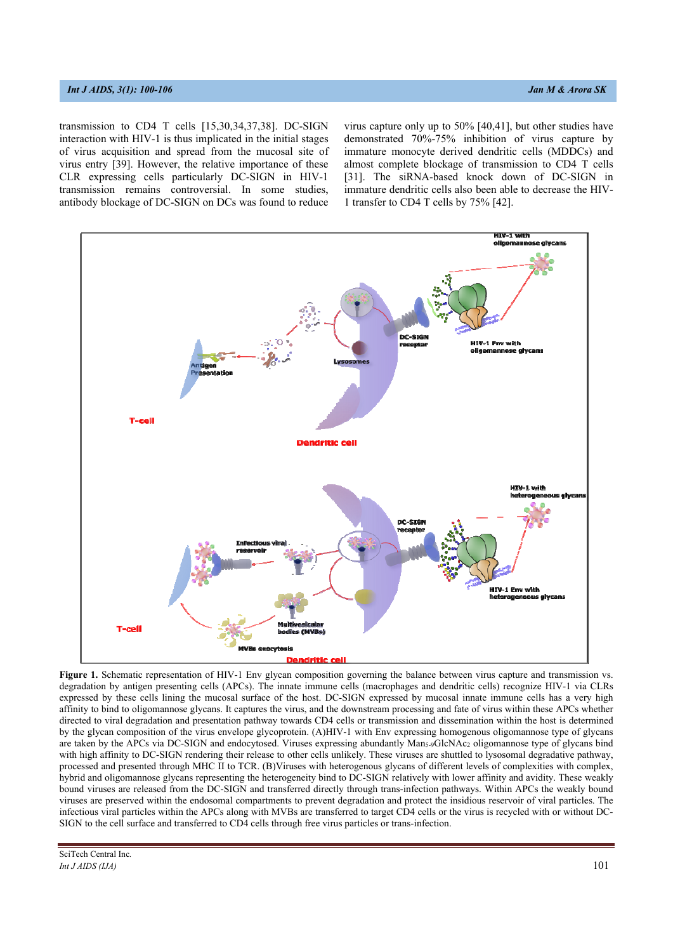transmission to CD4 T cells [15,30,34,37,38]. DC-SIGN interaction with HIV-1 is thus implicated in the initial stages of virus acquisition and spread from the mucosal site of virus entry [39]. However, the relative importance of these CLR expressing cells particularly DC-SIGN in HIV-1 transmission remains controversial. In some studies, antibody blockage of DC-SIGN on DCs was found to reduce virus capture only up to 50% [40,41], but other studies have demonstrated 70%-75% inhibition of virus capture by immature monocyte derived dendritic cells (MDDCs) and almost complete blockage of transmission to CD4 T cells [31]. The siRNA-based knock down of DC-SIGN in immature dendritic cells also been able to decrease the HIV-1 transfer to CD4 T cells by 75% [42].

Figure 1. Schematic representation of HIV-1 Env glycan composition governing the balance between virus capture and transmission vs. degradation by antigen presenting cells (APCs). The innate immune cells (macrophages and dendritic cells) recognize HIV-1 via CLRs expressed by these cells lining the mucosal surface of the host. DC-SIGN expressed by mucosal innate immune cells has a very high affinity to bind to oligomannose glycans. It captures the virus, and the downstream processing and fate of virus within these APCs whether directed to viral degradation and presentation pathway towards CD4 cells or transmission and dissemination within the host is determined by the glycan composition of the virus envelope glycoprotein. (A)HIV-1 with Env expressing homogenous oligomannose type of glycans are taken by the APCs via DC-SIGN and endocytosed. Viruses expressing abundantly Man5-9GlcNAc2 oligomannose type of glycans bind with high affinity to DC-SIGN rendering their release to other cells unlikely. These viruses are shuttled to lysosomal degradative pathway, processed and presented through MHC II to TCR. (B)Viruses with heterogenous glycans of different levels of complexities with complex, hybrid and oligomannose glycans representing the heterogeneity bind to DC-SIGN relatively with lower affinity and avidity. These weakly bound viruses are released from the DC-SIGN and transferred directly through trans-infection pathways. Within APCs the weakly bound viruses are preserved within the endosomal compartments to prevent degradation and protect the insidious reservoir of viral particles. The infectious viral particles within the APCs along with MVBs are transferred to target CD4 cells or the virus is recycled with or without DC-SIGN to the cell surface and transferred to CD4 cells through free virus particles or trans-infection.

SciTech Central Inc*. Int J AIDS (IJA)*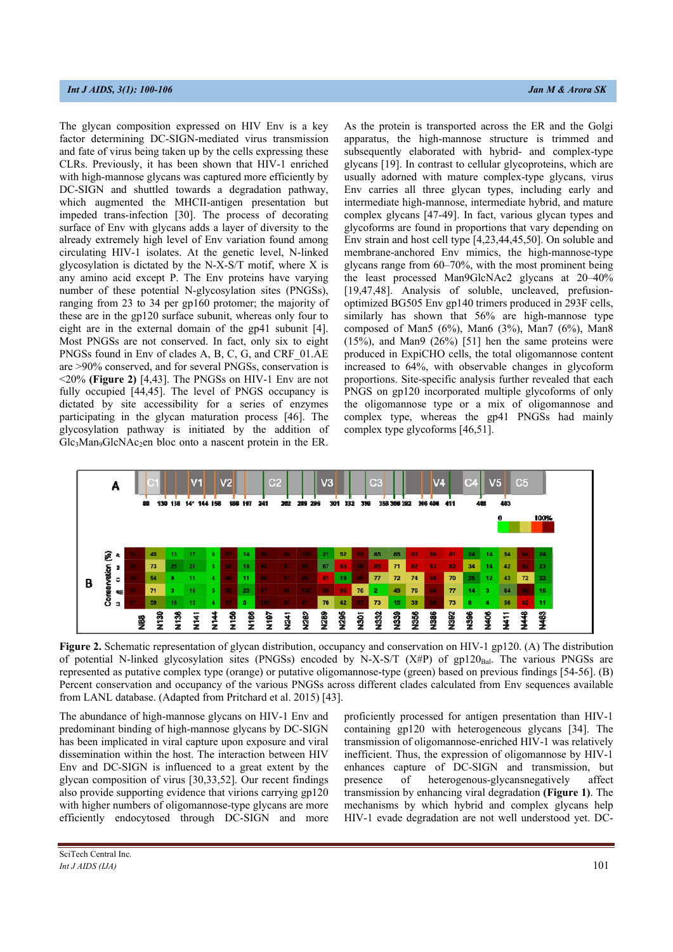The glycan composition expressed on HIV Env is a key factor determining DC-SIGN-mediated virus transmission and fate of virus being taken up by the cells expressing these CLRs. Previously, it has been shown that HIV-1 enriched with high-mannose glycans was captured more efficiently by DC-SIGN and shuttled towards a degradation pathway, which augmented the MHCII-antigen presentation but impeded trans-infection [30]. The process of decorating surface of Env with glycans adds a layer of diversity to the already extremely high level of Env variation found among circulating HIV-1 isolates. At the genetic level, N-linked glycosylation is dictated by the N-X-S/T motif, where X is any amino acid except P. The Env proteins have varying number of these potential N-glycosylation sites (PNGSs), ranging from 23 to 34 per gp160 protomer; the majority of these are in the gp120 surface subunit, whereas only four to eight are in the external domain of the gp41 subunit [4]. Most PNGSs are not conserved. In fact, only six to eight PNGSs found in Env of clades A, B, C, G, and CRF\_01.AE are >90% conserved, and for several PNGSs, conservation is <20% **(Figure 2)** [4,43]. The PNGSs on HIV-1 Env are not fully occupied [44,45]. The level of PNGS occupancy is dictated by site accessibility for a series of enzymes participating in the glycan maturation process [46]. The glycosylation pathway is initiated by the addition of Glc<sub>3</sub>Man<sub>9</sub>GlcNAc<sub>2</sub>en bloc onto a nascent protein in the ER.

As the protein is transported across the ER and the Golgi apparatus, the high-mannose structure is trimmed and subsequently elaborated with hybrid- and complex-type glycans [19]. In contrast to cellular glycoproteins, which are usually adorned with mature complex-type glycans, virus Env carries all three glycan types, including early and intermediate high-mannose, intermediate hybrid, and mature complex glycans [47-49]. In fact, various glycan types and glycoforms are found in proportions that vary depending on Env strain and host cell type [4,23,44,45,50]. On soluble and membrane-anchored Env mimics, the high-mannose-type glycans range from 60–70%, with the most prominent being the least processed Man9GlcNAc2 glycans at 20–40% [19,47,48]. Analysis of soluble, uncleaved, prefusionoptimized BG505 Env gp140 trimers produced in 293F cells, similarly has shown that 56% are high-mannose type composed of Man5 (6%), Man6 (3%), Man7 (6%), Man8  $(15\%)$ , and Man9  $(26\%)$  [51] hen the same proteins were produced in ExpiCHO cells, the total oligomannose content increased to 64%, with observable changes in glycoform proportions. Site-specific analysis further revealed that each PNGS on gp120 incorporated multiple glycoforms of only the oligomannose type or a mix of oligomannose and complex type, whereas the gp41 PNGSs had mainly complex type glycoforms [46,51].



**Figure 2.** Schematic representation of glycan distribution, occupancy and conservation on HIV-1 gp120. (A) The distribution of potential N-linked glycosylation sites (PNGSs) encoded by N-X-S/T (X#P) of gp120 $_{\text{Bal}}$ . The various PNGSs are represented as putative complex type (orange) or putative oligomannose-type (green) based on previous findings [54-56]. (B) Percent conservation and occupancy of the various PNGSs across different clades calculated from Env sequences available from LANL database. (Adapted from Pritchard et al. 2015) [43].

The abundance of high-mannose glycans on HIV-1 Env and predominant binding of high-mannose glycans by DC-SIGN has been implicated in viral capture upon exposure and viral dissemination within the host. The interaction between HIV Env and DC-SIGN is influenced to a great extent by the glycan composition of virus [30,33,52]. Our recent findings also provide supporting evidence that virions carrying gp120 with higher numbers of oligomannose-type glycans are more efficiently endocytosed through DC-SIGN and more proficiently processed for antigen presentation than HIV-1 containing gp120 with heterogeneous glycans [34]. The transmission of oligomannose-enriched HIV-1 was relatively inefficient. Thus, the expression of oligomannose by HIV-1 enhances capture of DC-SIGN and transmission, but presence of heterogenous-glycansnegatively affect transmission by enhancing viral degradation **(Figure 1)**. The mechanisms by which hybrid and complex glycans help HIV-1 evade degradation are not well understood yet. DC-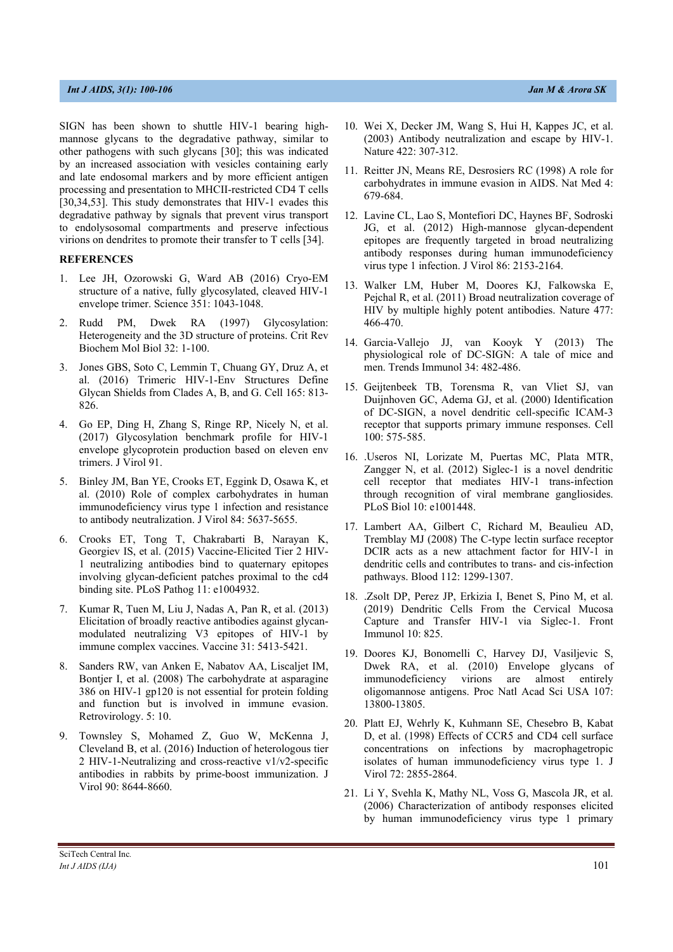SIGN has been shown to shuttle HIV-1 bearing highmannose glycans to the degradative pathway, similar to other pathogens with such glycans [30]; this was indicated by an increased association with vesicles containing early and late endosomal markers and by more efficient antigen processing and presentation to MHCII-restricted CD4 T cells [30,34,53]. This study demonstrates that HIV-1 evades this degradative pathway by signals that prevent virus transport to endolysosomal compartments and preserve infectious virions on dendrites to promote their transfer to T cells [34].

## **REFERENCES**

- 1. Lee JH, Ozorowski G, Ward AB (2016) Cryo-EM structure of a native, fully glycosylated, cleaved HIV-1 envelope trimer. Science 351: 1043-1048.
- 2. Rudd PM, Dwek RA (1997) Glycosylation: Heterogeneity and the 3D structure of proteins. Crit Rev Biochem Mol Biol 32: 1-100.
- 3. Jones GBS, Soto C, Lemmin T, Chuang GY, Druz A, et al. (2016) Trimeric HIV-1-Env Structures Define Glycan Shields from Clades A, B, and G. Cell 165: 813- 826.
- 4. Go EP, Ding H, Zhang S, Ringe RP, Nicely N, et al. (2017) Glycosylation benchmark profile for HIV-1 envelope glycoprotein production based on eleven env trimers. J Virol 91.
- 5. Binley JM, Ban YE, Crooks ET, Eggink D, Osawa K, et al. (2010) Role of complex carbohydrates in human immunodeficiency virus type 1 infection and resistance to antibody neutralization. J Virol 84: 5637-5655.
- 6. Crooks ET, Tong T, Chakrabarti B, Narayan K, Georgiev IS, et al. (2015) Vaccine-Elicited Tier 2 HIV-1 neutralizing antibodies bind to quaternary epitopes involving glycan-deficient patches proximal to the cd4 binding site. PLoS Pathog 11: e1004932.
- 7. Kumar R, Tuen M, Liu J, Nadas A, Pan R, et al. (2013) Elicitation of broadly reactive antibodies against glycanmodulated neutralizing V3 epitopes of HIV-1 by immune complex vaccines. Vaccine 31: 5413-5421.
- 8. Sanders RW, van Anken E, Nabatov AA, Liscaljet IM, Bontjer I, et al. (2008) The carbohydrate at asparagine 386 on HIV-1 gp120 is not essential for protein folding and function but is involved in immune evasion. Retrovirology. 5: 10.
- 9. Townsley S, Mohamed Z, Guo W, McKenna J, Cleveland B, et al. (2016) Induction of heterologous tier 2 HIV-1-Neutralizing and cross-reactive v1/v2-specific antibodies in rabbits by prime-boost immunization. J Virol 90: 8644-8660.
- 
- 10. Wei X, Decker JM, Wang S, Hui H, Kappes JC, et al. (2003) Antibody neutralization and escape by HIV-1. Nature 422: 307-312.
- 11. Reitter JN, Means RE, Desrosiers RC (1998) A role for carbohydrates in immune evasion in AIDS. Nat Med 4: 679-684.
- 12. Lavine CL, Lao S, Montefiori DC, Haynes BF, Sodroski JG, et al. (2012) High-mannose glycan-dependent epitopes are frequently targeted in broad neutralizing antibody responses during human immunodeficiency virus type 1 infection. J Virol 86: 2153-2164.
- 13. Walker LM, Huber M, Doores KJ, Falkowska E, Pejchal R, et al. (2011) Broad neutralization coverage of HIV by multiple highly potent antibodies. Nature 477: 466-470.
- 14. Garcia-Vallejo JJ, van Kooyk Y (2013) The physiological role of DC-SIGN: A tale of mice and men. Trends Immunol 34: 482-486.
- 15. Geijtenbeek TB, Torensma R, van Vliet SJ, van Duijnhoven GC, Adema GJ, et al. (2000) Identification of DC-SIGN, a novel dendritic cell-specific ICAM-3 receptor that supports primary immune responses. Cell 100: 575-585.
- 16. .Useros NI, Lorizate M, Puertas MC, Plata MTR, Zangger N, et al. (2012) Siglec-1 is a novel dendritic cell receptor that mediates HIV-1 trans-infection through recognition of viral membrane gangliosides. PLoS Biol 10: e1001448.
- 17. Lambert AA, Gilbert C, Richard M, Beaulieu AD, Tremblay MJ (2008) The C-type lectin surface receptor DCIR acts as a new attachment factor for HIV-1 in dendritic cells and contributes to trans- and cis-infection pathways. Blood 112: 1299-1307.
- 18. .Zsolt DP, Perez JP, Erkizia I, Benet S, Pino M, et al. (2019) Dendritic Cells From the Cervical Mucosa Capture and Transfer HIV-1 via Siglec-1. Front Immunol 10: 825.
- 19. Doores KJ, Bonomelli C, Harvey DJ, Vasiljevic S, Dwek RA, et al. (2010) Envelope glycans of immunodeficiency virions are almost entirely oligomannose antigens. Proc Natl Acad Sci USA 107: 13800-13805.
- 20. Platt EJ, Wehrly K, Kuhmann SE, Chesebro B, Kabat D, et al. (1998) Effects of CCR5 and CD4 cell surface concentrations on infections by macrophagetropic isolates of human immunodeficiency virus type 1. J Virol 72: 2855-2864.
- 21. Li Y, Svehla K, Mathy NL, Voss G, Mascola JR, et al. (2006) Characterization of antibody responses elicited by human immunodeficiency virus type 1 primary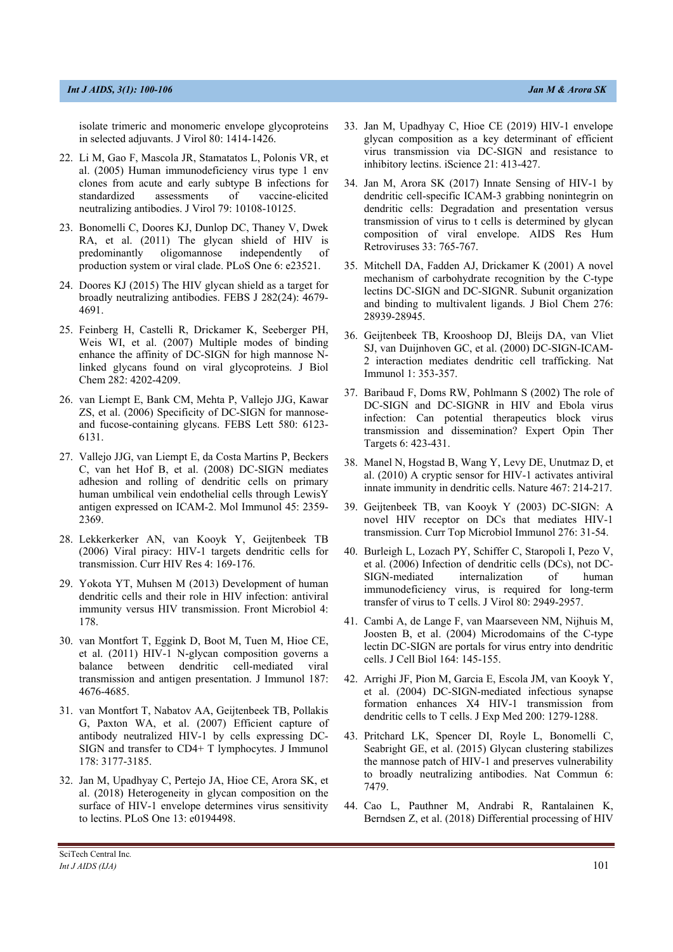isolate trimeric and monomeric envelope glycoproteins in selected adjuvants. J Virol 80: 1414-1426.

- 22. Li M, Gao F, Mascola JR, Stamatatos L, Polonis VR, et al. (2005) Human immunodeficiency virus type 1 env clones from acute and early subtype B infections for standardized assessments of vaccine-elicited neutralizing antibodies. J Virol 79: 10108-10125.
- 23. Bonomelli C, Doores KJ, Dunlop DC, Thaney V, Dwek RA, et al. (2011) The glycan shield of HIV is predominantly oligomannose independently of production system or viral clade. PLoS One 6: e23521.
- 24. Doores KJ (2015) The HIV glycan shield as a target for broadly neutralizing antibodies. FEBS J 282(24): 4679- 4691.
- 25. Feinberg H, Castelli R, Drickamer K, Seeberger PH, Weis WI, et al. (2007) Multiple modes of binding enhance the affinity of DC-SIGN for high mannose Nlinked glycans found on viral glycoproteins. J Biol Chem 282: 4202-4209.
- 26. van Liempt E, Bank CM, Mehta P, Vallejo JJG, Kawar ZS, et al. (2006) Specificity of DC-SIGN for mannoseand fucose-containing glycans. FEBS Lett 580: 6123- 6131.
- 27. Vallejo JJG, van Liempt E, da Costa Martins P, Beckers C, van het Hof B, et al. (2008) DC-SIGN mediates adhesion and rolling of dendritic cells on primary human umbilical vein endothelial cells through LewisY antigen expressed on ICAM-2. Mol Immunol 45: 2359- 2369.
- 28. Lekkerkerker AN, van Koovk Y, Geijtenbeek TB (2006) Viral piracy: HIV-1 targets dendritic cells for transmission. Curr HIV Res 4: 169-176.
- 29. Yokota YT, Muhsen M (2013) Development of human dendritic cells and their role in HIV infection: antiviral immunity versus HIV transmission. Front Microbiol 4: 178.
- 30. van Montfort T, Eggink D, Boot M, Tuen M, Hioe CE, et al. (2011) HIV-1 N-glycan composition governs a balance between dendritic cell-mediated viral transmission and antigen presentation. J Immunol 187: 4676-4685.
- 31. van Montfort T, Nabatov AA, Geijtenbeek TB, Pollakis G, Paxton WA, et al. (2007) Efficient capture of antibody neutralized HIV-1 by cells expressing DC-SIGN and transfer to CD4+ T lymphocytes. J Immunol 178: 3177-3185.
- 32. Jan M, Upadhyay C, Pertejo JA, Hioe CE, Arora SK, et al. (2018) Heterogeneity in glycan composition on the surface of HIV-1 envelope determines virus sensitivity to lectins. PLoS One 13: e0194498.
- 33. Jan M, Upadhyay C, Hioe CE (2019) HIV-1 envelope glycan composition as a key determinant of efficient virus transmission via DC-SIGN and resistance to inhibitory lectins. iScience 21: 413-427.
- 34. Jan M, Arora SK (2017) Innate Sensing of HIV-1 by dendritic cell-specific ICAM-3 grabbing nonintegrin on dendritic cells: Degradation and presentation versus transmission of virus to t cells is determined by glycan composition of viral envelope. AIDS Res Hum Retroviruses 33: 765-767.
- 35. Mitchell DA, Fadden AJ, Drickamer K (2001) A novel mechanism of carbohydrate recognition by the C-type lectins DC-SIGN and DC-SIGNR. Subunit organization and binding to multivalent ligands. J Biol Chem 276: 28939-28945.
- 36. Geijtenbeek TB, Krooshoop DJ, Bleijs DA, van Vliet SJ, van Duijnhoven GC, et al. (2000) DC-SIGN-ICAM-2 interaction mediates dendritic cell trafficking. Nat Immunol 1: 353-357.
- 37. Baribaud F, Doms RW, Pohlmann S (2002) The role of DC-SIGN and DC-SIGNR in HIV and Ebola virus infection: Can potential therapeutics block virus transmission and dissemination? Expert Opin Ther Targets 6: 423-431.
- 38. Manel N, Hogstad B, Wang Y, Levy DE, Unutmaz D, et al. (2010) A cryptic sensor for HIV-1 activates antiviral innate immunity in dendritic cells. Nature 467: 214-217.
- 39. Geijtenbeek TB, van Kooyk Y (2003) DC-SIGN: A novel HIV receptor on DCs that mediates HIV-1 transmission. Curr Top Microbiol Immunol 276: 31-54.
- 40. Burleigh L, Lozach PY, Schiffer C, Staropoli I, Pezo V, et al. (2006) Infection of dendritic cells (DCs), not DC-SIGN-mediated internalization of human immunodeficiency virus, is required for long-term transfer of virus to T cells. J Virol 80: 2949-2957.
- 41. Cambi A, de Lange F, van Maarseveen NM, Nijhuis M, Joosten B, et al. (2004) Microdomains of the C-type lectin DC-SIGN are portals for virus entry into dendritic cells. J Cell Biol 164: 145-155.
- 42. Arrighi JF, Pion M, Garcia E, Escola JM, van Kooyk Y, et al. (2004) DC-SIGN-mediated infectious synapse formation enhances X4 HIV-1 transmission from dendritic cells to T cells. J Exp Med 200: 1279-1288.
- 43. Pritchard LK, Spencer DI, Royle L, Bonomelli C, Seabright GE, et al. (2015) Glycan clustering stabilizes the mannose patch of HIV-1 and preserves vulnerability to broadly neutralizing antibodies. Nat Commun 6: 7479.
- 44. Cao L, Pauthner M, Andrabi R, Rantalainen K, Berndsen Z, et al. (2018) Differential processing of HIV